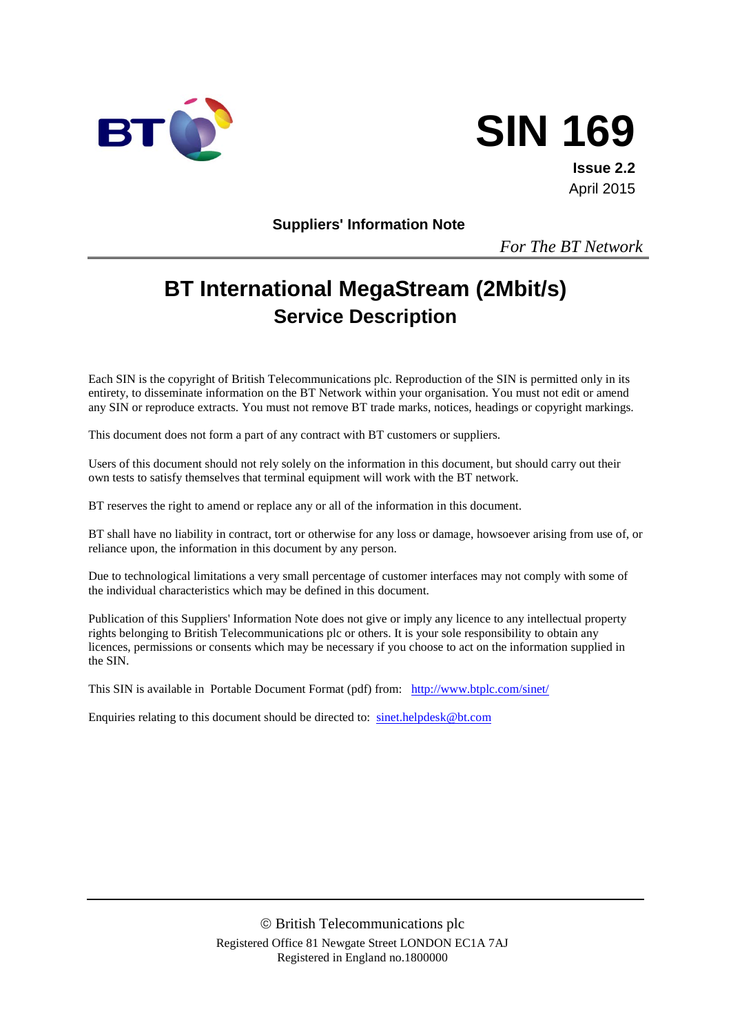

# **SIN 169**

**Issue 2.2** April 2015

**Suppliers' Information Note**

*For The BT Network*

## **BT International MegaStream (2Mbit/s) Service Description**

Each SIN is the copyright of British Telecommunications plc. Reproduction of the SIN is permitted only in its entirety, to disseminate information on the BT Network within your organisation. You must not edit or amend any SIN or reproduce extracts. You must not remove BT trade marks, notices, headings or copyright markings.

This document does not form a part of any contract with BT customers or suppliers.

Users of this document should not rely solely on the information in this document, but should carry out their own tests to satisfy themselves that terminal equipment will work with the BT network.

BT reserves the right to amend or replace any or all of the information in this document.

BT shall have no liability in contract, tort or otherwise for any loss or damage, howsoever arising from use of, or reliance upon, the information in this document by any person.

Due to technological limitations a very small percentage of customer interfaces may not comply with some of the individual characteristics which may be defined in this document.

Publication of this Suppliers' Information Note does not give or imply any licence to any intellectual property rights belonging to British Telecommunications plc or others. It is your sole responsibility to obtain any licences, permissions or consents which may be necessary if you choose to act on the information supplied in the SIN.

This SIN is available in Portable Document Format (pdf) from: <http://www.btplc.com/sinet/>

Enquiries relating to this document should be directed to: [sinet.helpdesk@bt.com](mailto:sinet.helpdesk@bt.com)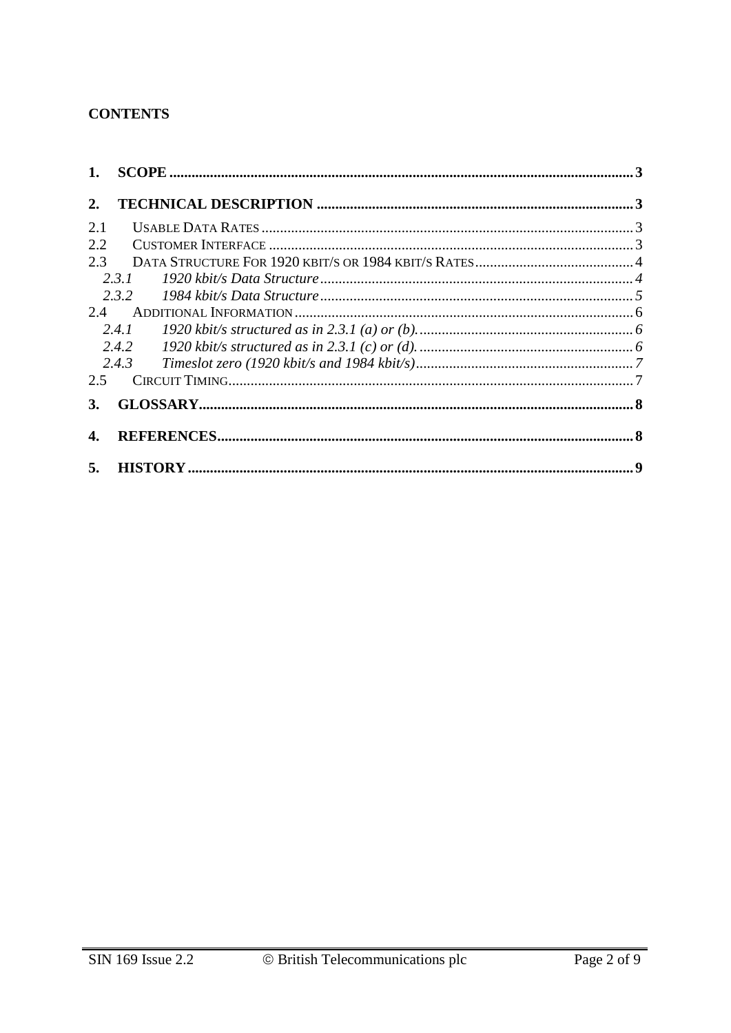## **CONTENTS**

| 1.  |       |  |
|-----|-------|--|
| 2.  |       |  |
| 2.1 |       |  |
| 2.2 |       |  |
| 2.3 |       |  |
|     | 2.3.1 |  |
|     | 2.3.2 |  |
| 2.4 |       |  |
|     |       |  |
|     | 2.4.2 |  |
|     | 2.4.3 |  |
| 2.5 |       |  |
| 3.  |       |  |
| 4.  |       |  |
|     |       |  |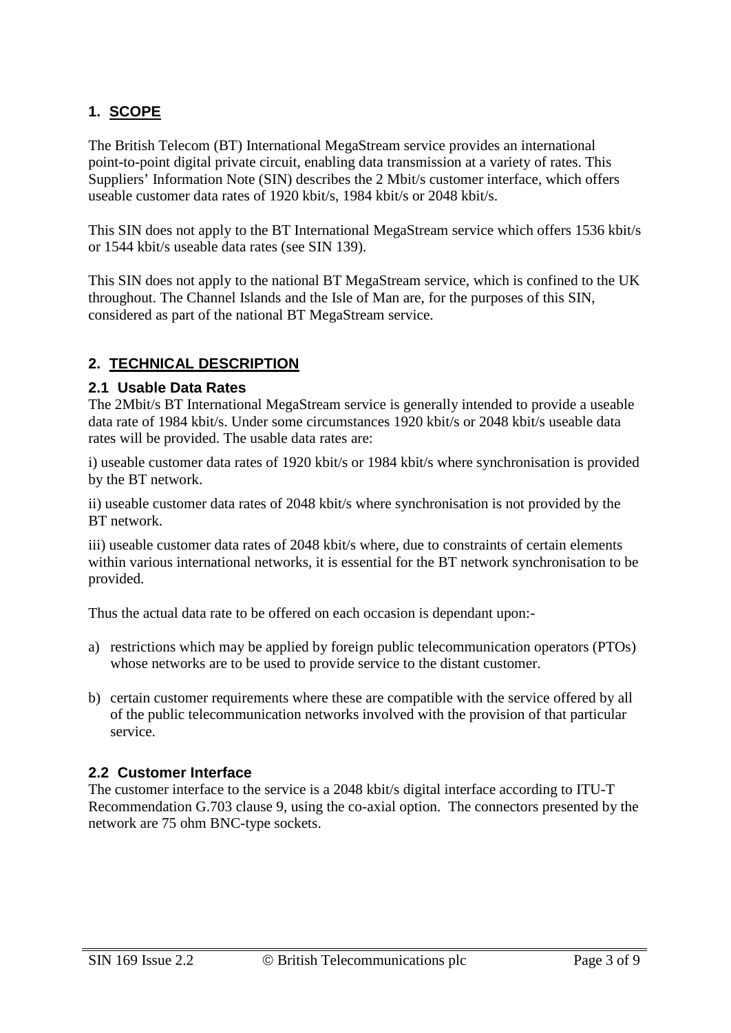## **1. SCOPE**

The British Telecom (BT) International MegaStream service provides an international point-to-point digital private circuit, enabling data transmission at a variety of rates. This Suppliers' Information Note (SIN) describes the 2 Mbit/s customer interface, which offers useable customer data rates of 1920 kbit/s, 1984 kbit/s or 2048 kbit/s.

This SIN does not apply to the BT International MegaStream service which offers 1536 kbit/s or 1544 kbit/s useable data rates (see SIN 139).

This SIN does not apply to the national BT MegaStream service, which is confined to the UK throughout. The Channel Islands and the Isle of Man are, for the purposes of this SIN, considered as part of the national BT MegaStream service.

## **2. TECHNICAL DESCRIPTION**

#### **2.1 Usable Data Rates**

The 2Mbit/s BT International MegaStream service is generally intended to provide a useable data rate of 1984 kbit/s. Under some circumstances 1920 kbit/s or 2048 kbit/s useable data rates will be provided. The usable data rates are:

i) useable customer data rates of 1920 kbit/s or 1984 kbit/s where synchronisation is provided by the BT network.

ii) useable customer data rates of 2048 kbit/s where synchronisation is not provided by the BT network.

iii) useable customer data rates of 2048 kbit/s where, due to constraints of certain elements within various international networks, it is essential for the BT network synchronisation to be provided.

Thus the actual data rate to be offered on each occasion is dependant upon:-

- a) restrictions which may be applied by foreign public telecommunication operators (PTOs) whose networks are to be used to provide service to the distant customer.
- b) certain customer requirements where these are compatible with the service offered by all of the public telecommunication networks involved with the provision of that particular service.

### **2.2 Customer Interface**

The customer interface to the service is a 2048 kbit/s digital interface according to ITU-T Recommendation G.703 clause 9, using the co-axial option. The connectors presented by the network are 75 ohm BNC-type sockets.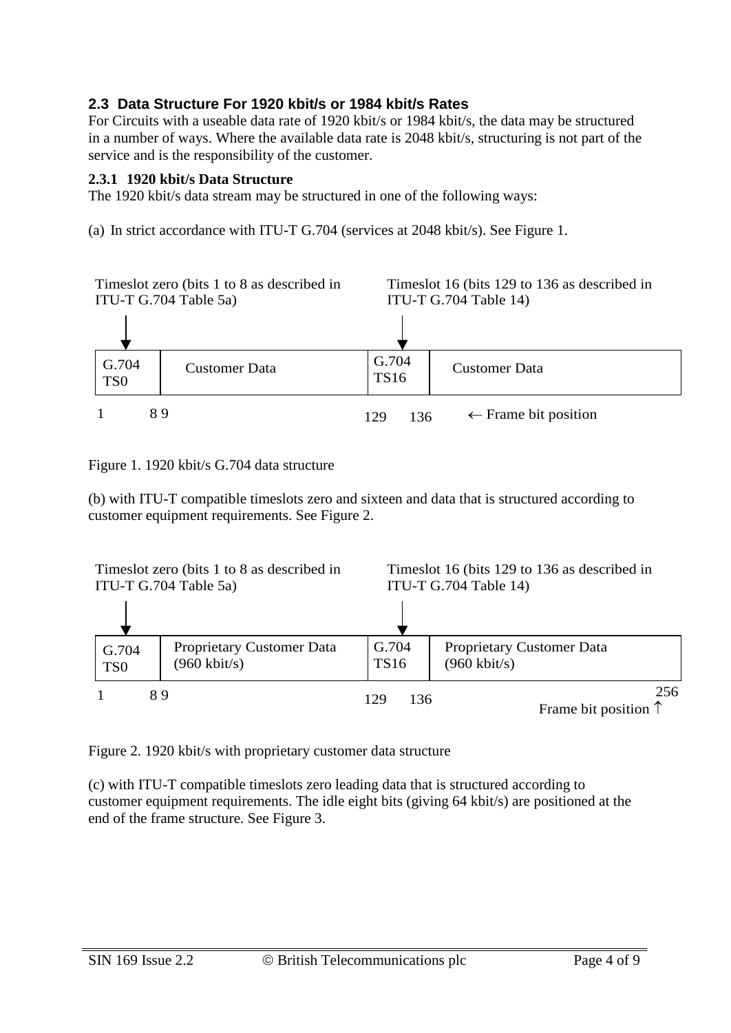## **2.3 Data Structure For 1920 kbit/s or 1984 kbit/s Rates**

For Circuits with a useable data rate of 1920 kbit/s or 1984 kbit/s, the data may be structured in a number of ways. Where the available data rate is 2048 kbit/s, structuring is not part of the service and is the responsibility of the customer.

### **2.3.1 1920 kbit/s Data Structure**

The 1920 kbit/s data stream may be structured in one of the following ways:

(a) In strict accordance with ITU-T G.704 (services at 2048 kbit/s). See Figure 1.



Figure 1. 1920 kbit/s G.704 data structure

(b) with ITU-T compatible timeslots zero and sixteen and data that is structured according to customer equipment requirements. See Figure 2.



Figure 2. 1920 kbit/s with proprietary customer data structure

(c) with ITU-T compatible timeslots zero leading data that is structured according to customer equipment requirements. The idle eight bits (giving 64 kbit/s) are positioned at the end of the frame structure. See Figure 3.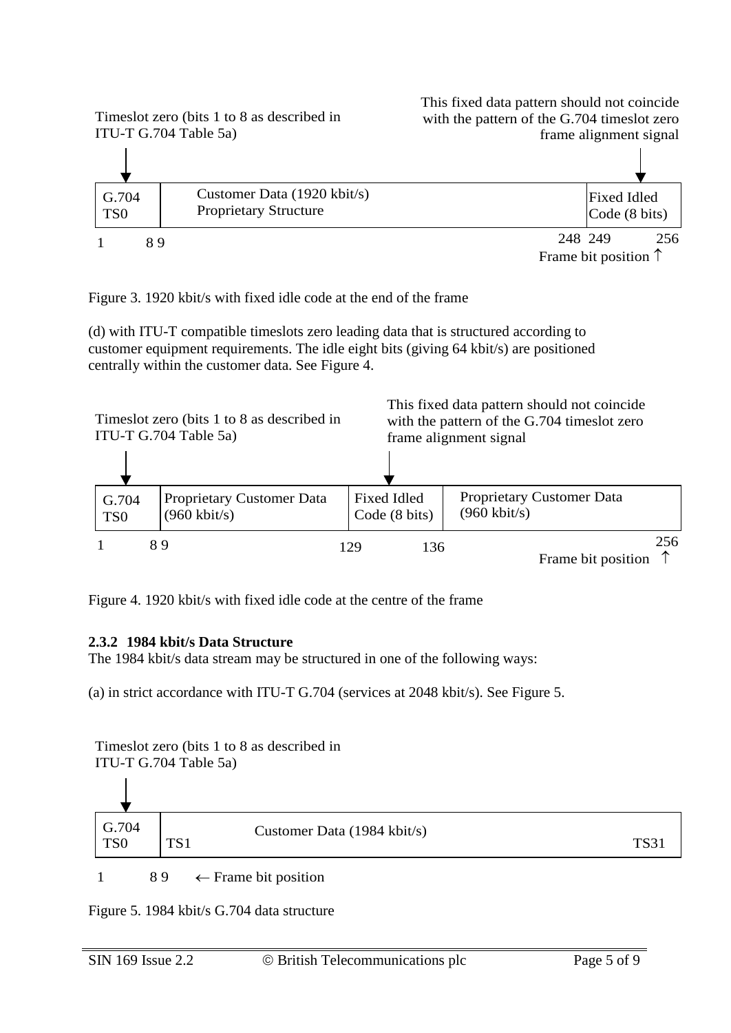

Figure 3. 1920 kbit/s with fixed idle code at the end of the frame

(d) with ITU-T compatible timeslots zero leading data that is structured according to customer equipment requirements. The idle eight bits (giving 64 kbit/s) are positioned centrally within the customer data. See Figure 4.

|                          | Times ot zero (bits 1 to 8 as described in<br>ITU-T G.704 Table 5a) | This fixed data pattern should not coincide<br>with the pattern of the G.704 timeslot zero<br>frame alignment signal |                                                     |
|--------------------------|---------------------------------------------------------------------|----------------------------------------------------------------------------------------------------------------------|-----------------------------------------------------|
|                          |                                                                     |                                                                                                                      |                                                     |
| G.704<br>TS <sub>0</sub> | Proprietary Customer Data<br>$(960 \text{ kbit/s})$                 | Fixed Idled<br>Code (8 bits)                                                                                         | Proprietary Customer Data<br>$(960 \text{ kbit/s})$ |
|                          | 89                                                                  | 136<br>129                                                                                                           | 256<br>Frame bit position                           |

Figure 4. 1920 kbit/s with fixed idle code at the centre of the frame

### **2.3.2 1984 kbit/s Data Structure**

The 1984 kbit/s data stream may be structured in one of the following ways:

(a) in strict accordance with ITU-T G.704 (services at 2048 kbit/s). See Figure 5.

Timeslot zero (bits 1 to 8 as described in



Figure 5. 1984 kbit/s G.704 data structure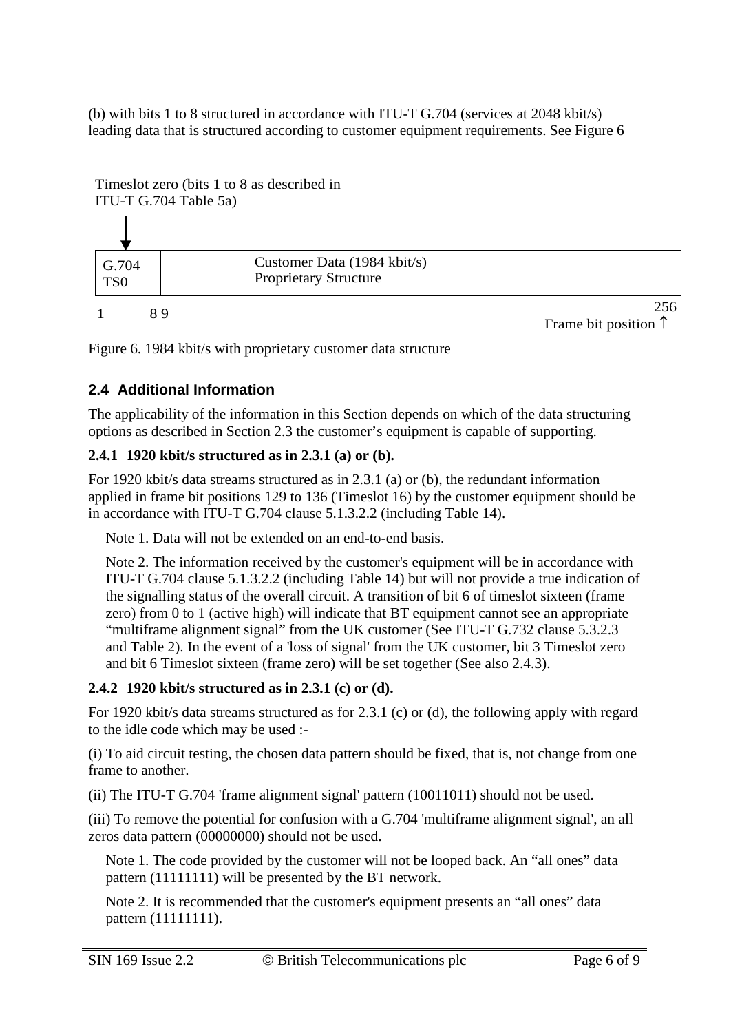(b) with bits 1 to 8 structured in accordance with ITU-T G.704 (services at 2048 kbit/s) leading data that is structured according to customer equipment requirements. See Figure 6



Figure 6. 1984 kbit/s with proprietary customer data structure

## **2.4 Additional Information**

The applicability of the information in this Section depends on which of the data structuring options as described in Section 2.3 the customer's equipment is capable of supporting.

## **2.4.1 1920 kbit/s structured as in 2.3.1 (a) or (b).**

For 1920 kbit/s data streams structured as in 2.3.1 (a) or (b), the redundant information applied in frame bit positions 129 to 136 (Timeslot 16) by the customer equipment should be in accordance with ITU-T G.704 clause 5.1.3.2.2 (including Table 14).

Note 1. Data will not be extended on an end-to-end basis.

Note 2. The information received by the customer's equipment will be in accordance with ITU-T G.704 clause 5.1.3.2.2 (including Table 14) but will not provide a true indication of the signalling status of the overall circuit. A transition of bit 6 of timeslot sixteen (frame zero) from 0 to 1 (active high) will indicate that BT equipment cannot see an appropriate "multiframe alignment signal" from the UK customer (See ITU-T G.732 clause 5.3.2.3 and Table 2). In the event of a 'loss of signal' from the UK customer, bit 3 Timeslot zero and bit 6 Timeslot sixteen (frame zero) will be set together (See also 2.4.3).

## **2.4.2 1920 kbit/s structured as in 2.3.1 (c) or (d).**

For 1920 kbit/s data streams structured as for 2.3.1 (c) or (d), the following apply with regard to the idle code which may be used :-

(i) To aid circuit testing, the chosen data pattern should be fixed, that is, not change from one frame to another.

(ii) The ITU-T G.704 'frame alignment signal' pattern (10011011) should not be used.

(iii) To remove the potential for confusion with a G.704 'multiframe alignment signal', an all zeros data pattern (00000000) should not be used.

Note 1. The code provided by the customer will not be looped back. An "all ones" data pattern (11111111) will be presented by the BT network.

Note 2. It is recommended that the customer's equipment presents an "all ones" data pattern (11111111).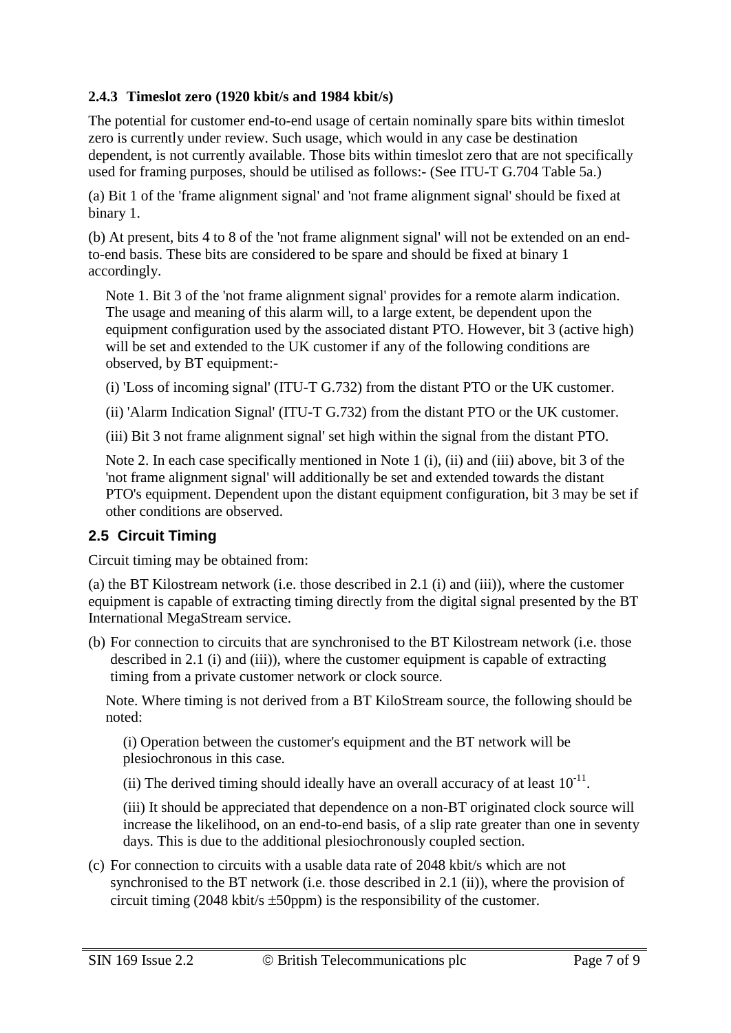## **2.4.3 Timeslot zero (1920 kbit/s and 1984 kbit/s)**

The potential for customer end-to-end usage of certain nominally spare bits within timeslot zero is currently under review. Such usage, which would in any case be destination dependent, is not currently available. Those bits within timeslot zero that are not specifically used for framing purposes, should be utilised as follows:- (See ITU-T G.704 Table 5a.)

(a) Bit 1 of the 'frame alignment signal' and 'not frame alignment signal' should be fixed at binary 1.

(b) At present, bits 4 to 8 of the 'not frame alignment signal' will not be extended on an endto-end basis. These bits are considered to be spare and should be fixed at binary 1 accordingly.

Note 1. Bit 3 of the 'not frame alignment signal' provides for a remote alarm indication. The usage and meaning of this alarm will, to a large extent, be dependent upon the equipment configuration used by the associated distant PTO. However, bit 3 (active high) will be set and extended to the UK customer if any of the following conditions are observed, by BT equipment:-

(i) 'Loss of incoming signal' (ITU-T G.732) from the distant PTO or the UK customer.

(ii) 'Alarm Indication Signal' (ITU-T G.732) from the distant PTO or the UK customer.

(iii) Bit 3 not frame alignment signal' set high within the signal from the distant PTO.

Note 2. In each case specifically mentioned in Note 1 (i), (ii) and (iii) above, bit 3 of the 'not frame alignment signal' will additionally be set and extended towards the distant PTO's equipment. Dependent upon the distant equipment configuration, bit 3 may be set if other conditions are observed.

## **2.5 Circuit Timing**

Circuit timing may be obtained from:

(a) the BT Kilostream network (i.e. those described in 2.1 (i) and (iii)), where the customer equipment is capable of extracting timing directly from the digital signal presented by the BT International MegaStream service.

(b) For connection to circuits that are synchronised to the BT Kilostream network (i.e. those described in 2.1 (i) and (iii)), where the customer equipment is capable of extracting timing from a private customer network or clock source.

Note. Where timing is not derived from a BT KiloStream source, the following should be noted:

(i) Operation between the customer's equipment and the BT network will be plesiochronous in this case.

(ii) The derived timing should ideally have an overall accuracy of at least  $10^{-11}$ .

(iii) It should be appreciated that dependence on a non-BT originated clock source will increase the likelihood, on an end-to-end basis, of a slip rate greater than one in seventy days. This is due to the additional plesiochronously coupled section.

(c) For connection to circuits with a usable data rate of 2048 kbit/s which are not synchronised to the BT network (i.e. those described in 2.1 (ii)), where the provision of circuit timing (2048 kbit/s  $\pm$ 50ppm) is the responsibility of the customer.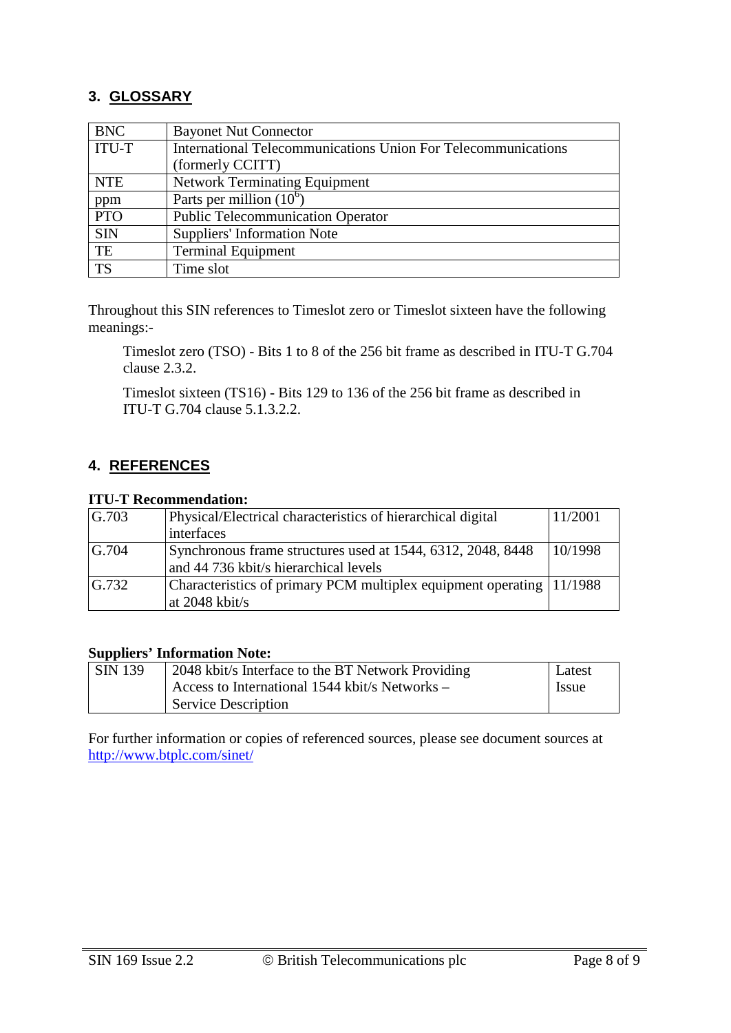## **3. GLOSSARY**

| <b>BNC</b>   | <b>Bayonet Nut Connector</b>                                  |  |
|--------------|---------------------------------------------------------------|--|
| <b>ITU-T</b> | International Telecommunications Union For Telecommunications |  |
|              | (formerly CCITT)                                              |  |
| <b>NTE</b>   | <b>Network Terminating Equipment</b>                          |  |
| ppm          | Parts per million $(10^6)$                                    |  |
| <b>PTO</b>   | <b>Public Telecommunication Operator</b>                      |  |
| <b>SIN</b>   | <b>Suppliers' Information Note</b>                            |  |
| TE           | <b>Terminal Equipment</b>                                     |  |
| <b>TS</b>    | Time slot                                                     |  |

Throughout this SIN references to Timeslot zero or Timeslot sixteen have the following meanings:-

Timeslot zero (TSO) - Bits 1 to 8 of the 256 bit frame as described in ITU-T G.704 clause 2.3.2.

Timeslot sixteen (TS16) - Bits 129 to 136 of the 256 bit frame as described in ITU-T G.704 clause 5.1.3.2.2.

### **4. REFERENCES**

#### **ITU-T Recommendation:**

| $\mid$ G.703 | Physical/Electrical characteristics of hierarchical digital          |         |
|--------------|----------------------------------------------------------------------|---------|
|              | interfaces                                                           |         |
| G.704        | Synchronous frame structures used at 1544, 6312, 2048, 8448          | 10/1998 |
|              | and 44 736 kbit/s hierarchical levels                                |         |
| G.732        | Characteristics of primary PCM multiplex equipment operating 11/1988 |         |
|              | at $2048$ kbit/s                                                     |         |

#### **Suppliers' Information Note:**

| $\vert$ SIN 139 | 2048 kbit/s Interface to the BT Network Providing |       |
|-----------------|---------------------------------------------------|-------|
|                 | Access to International 1544 kbit/s Networks –    | Issue |
|                 | <b>Service Description</b>                        |       |

For further information or copies of referenced sources, please see document sources at <http://www.btplc.com/sinet/>